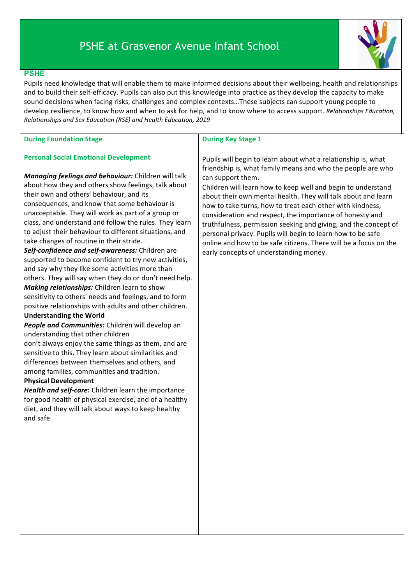# PSHE at Grasvenor Avenue Infant School



## **PSHE**

Pupils need knowledge that will enable them to make informed decisions about their wellbeing, health and relationships and to build their self-efficacy. Pupils can also put this knowledge into practice as they develop the capacity to make sound decisions when facing risks, challenges and complex contexts...These subjects can support young people to develop resilience, to know how and when to ask for help, and to know where to access support. *Relationships Education*, *Relationships and Sex Education (RSE) and Health Education, 2019* 

|  | <b>During Foundation Stage</b> |  |
|--|--------------------------------|--|
|--|--------------------------------|--|

### **Personal Social Emotional Development**

*Managing feelings and behaviour:* Children will talk about how they and others show feelings, talk about their own and others' behaviour, and its consequences, and know that some behaviour is unacceptable. They will work as part of a group or class, and understand and follow the rules. They learn to adjust their behaviour to different situations, and take changes of routine in their stride.

Self-confidence and self-awareness: Children are supported to become confident to try new activities, and say why they like some activities more than others. They will say when they do or don't need help. *Making relationships:* Children learn to show sensitivity to others' needs and feelings, and to form positive relationships with adults and other children.

## **Understanding the World**

**People and Communities:** Children will develop an understanding that other children

don't always enjoy the same things as them, and are sensitive to this. They learn about similarities and differences between themselves and others, and among families, communities and tradition.

### **Physical Development**

Health and self-care: Children learn the importance for good health of physical exercise, and of a healthy diet, and they will talk about ways to keep healthy and safe.

#### **During Key Stage 1**

Pupils will begin to learn about what a relationship is, what friendship is, what family means and who the people are who can support them.

Children will learn how to keep well and begin to understand about their own mental health. They will talk about and learn how to take turns, how to treat each other with kindness, consideration and respect, the importance of honesty and truthfulness, permission seeking and giving, and the concept of personal privacy. Pupils will begin to learn how to be safe online and how to be safe citizens. There will be a focus on the early concepts of understanding money.